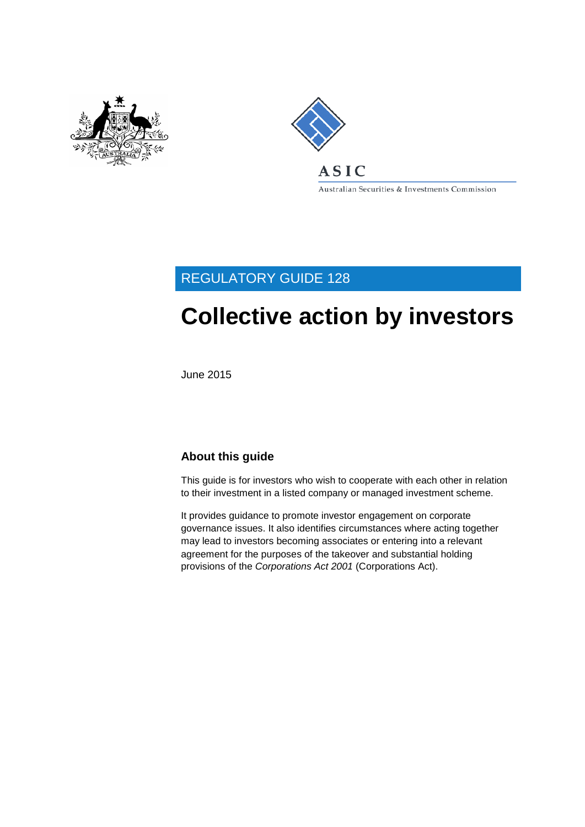



Australian Securities & Investments Commission

## REGULATORY GUIDE 128

# **Collective action by investors**

June 2015

### **About this guide**

This guide is for investors who wish to cooperate with each other in relation to their investment in a listed company or managed investment scheme.

It provides guidance to promote investor engagement on corporate governance issues. It also identifies circumstances where acting together may lead to investors becoming associates or entering into a relevant agreement for the purposes of the takeover and substantial holding provisions of the *Corporations Act 2001* (Corporations Act).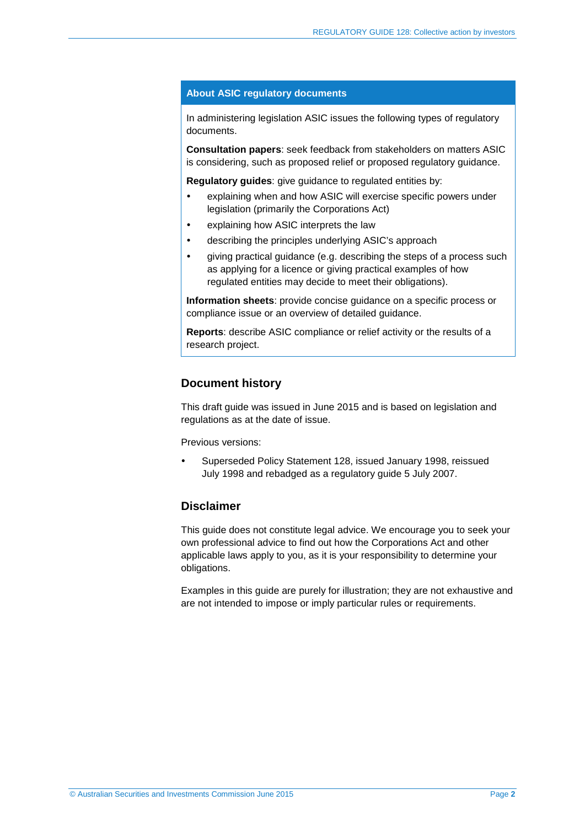#### **About ASIC regulatory documents**

In administering legislation ASIC issues the following types of regulatory documents.

**Consultation papers**: seek feedback from stakeholders on matters ASIC is considering, such as proposed relief or proposed regulatory guidance.

**Regulatory guides**: give guidance to regulated entities by:

- explaining when and how ASIC will exercise specific powers under legislation (primarily the Corporations Act)
- explaining how ASIC interprets the law
- describing the principles underlying ASIC's approach
- giving practical guidance (e.g. describing the steps of a process such as applying for a licence or giving practical examples of how regulated entities may decide to meet their obligations).

**Information sheets**: provide concise guidance on a specific process or compliance issue or an overview of detailed guidance.

**Reports**: describe ASIC compliance or relief activity or the results of a research project.

### **Document history**

This draft guide was issued in June 2015 and is based on legislation and regulations as at the date of issue.

Previous versions:

 Superseded Policy Statement 128, issued January 1998, reissued July 1998 and rebadged as a regulatory guide 5 July 2007.

### **Disclaimer**

This guide does not constitute legal advice. We encourage you to seek your own professional advice to find out how the Corporations Act and other applicable laws apply to you, as it is your responsibility to determine your obligations.

Examples in this guide are purely for illustration; they are not exhaustive and are not intended to impose or imply particular rules or requirements.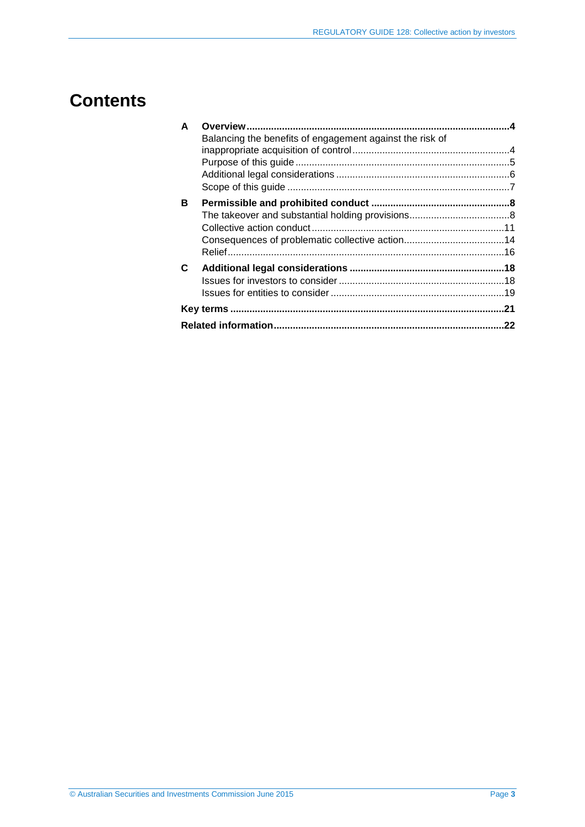## **Contents**

| A |                                                          |  |
|---|----------------------------------------------------------|--|
|   | Balancing the benefits of engagement against the risk of |  |
|   |                                                          |  |
|   |                                                          |  |
|   |                                                          |  |
| в |                                                          |  |
|   |                                                          |  |
|   |                                                          |  |
|   |                                                          |  |
|   |                                                          |  |
| C |                                                          |  |
|   |                                                          |  |
|   |                                                          |  |
|   |                                                          |  |
|   |                                                          |  |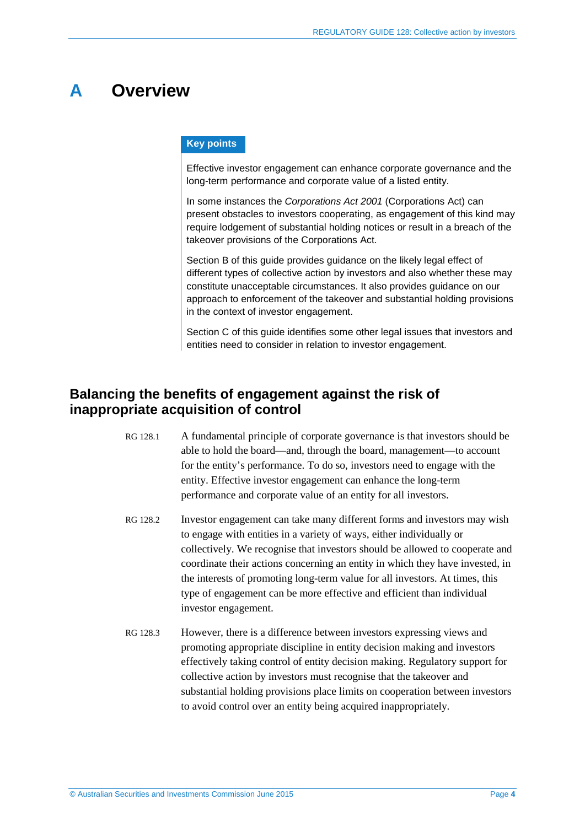## <span id="page-3-0"></span>**A Overview**

#### **Key points**

Effective investor engagement can enhance corporate governance and the long-term performance and corporate value of a listed entity.

In some instances the *Corporations Act 2001* (Corporations Act) can present obstacles to investors cooperating, as engagement of this kind may require lodgement of substantial holding notices or result in a breach of the takeover provisions of the Corporations Act.

Section [B](#page-7-0) of this guide provides guidance on the likely legal effect of different types of collective action by investors and also whether these may constitute unacceptable circumstances. It also provides guidance on our approach to enforcement of the takeover and substantial holding provisions in the context of investor engagement.

Section [C](#page-17-0) of this guide identifies some other legal issues that investors and entities need to consider in relation to investor engagement.

### <span id="page-3-1"></span>**Balancing the benefits of engagement against the risk of inappropriate acquisition of control**

- RG 128.1 A fundamental principle of corporate governance is that investors should be able to hold the board—and, through the board, management—to account for the entity's performance. To do so, investors need to engage with the entity. Effective investor engagement can enhance the long-term performance and corporate value of an entity for all investors.
- RG 128.2 Investor engagement can take many different forms and investors may wish to engage with entities in a variety of ways, either individually or collectively. We recognise that investors should be allowed to cooperate and coordinate their actions concerning an entity in which they have invested, in the interests of promoting long-term value for all investors. At times, this type of engagement can be more effective and efficient than individual investor engagement.
- RG 128.3 However, there is a difference between investors expressing views and promoting appropriate discipline in entity decision making and investors effectively taking control of entity decision making. Regulatory support for collective action by investors must recognise that the takeover and substantial holding provisions place limits on cooperation between investors to avoid control over an entity being acquired inappropriately.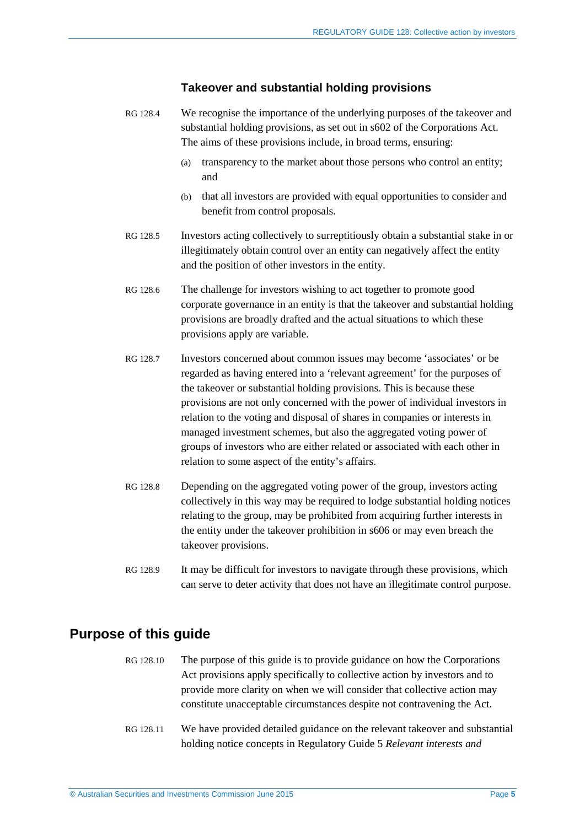### **Takeover and substantial holding provisions**

- RG 128.4 We recognise the importance of the underlying purposes of the takeover and substantial holding provisions, as set out in s602 of the Corporations Act. The aims of these provisions include, in broad terms, ensuring:
	- (a) transparency to the market about those persons who control an entity; and
	- (b) that all investors are provided with equal opportunities to consider and benefit from control proposals.
- RG 128.5 Investors acting collectively to surreptitiously obtain a substantial stake in or illegitimately obtain control over an entity can negatively affect the entity and the position of other investors in the entity.
- RG 128.6 The challenge for investors wishing to act together to promote good corporate governance in an entity is that the takeover and substantial holding provisions are broadly drafted and the actual situations to which these provisions apply are variable.
- RG 128.7 Investors concerned about common issues may become 'associates' or be regarded as having entered into a 'relevant agreement' for the purposes of the takeover or substantial holding provisions. This is because these provisions are not only concerned with the power of individual investors in relation to the voting and disposal of shares in companies or interests in managed investment schemes, but also the aggregated voting power of groups of investors who are either related or associated with each other in relation to some aspect of the entity's affairs.
- RG 128.8 Depending on the aggregated voting power of the group, investors acting collectively in this way may be required to lodge substantial holding notices relating to the group, may be prohibited from acquiring further interests in the entity under the takeover prohibition in s606 or may even breach the takeover provisions.
- RG 128.9 It may be difficult for investors to navigate through these provisions, which can serve to deter activity that does not have an illegitimate control purpose.

### <span id="page-4-0"></span>**Purpose of this guide**

- RG 128.10 The purpose of this guide is to provide guidance on how the Corporations Act provisions apply specifically to collective action by investors and to provide more clarity on when we will consider that collective action may constitute unacceptable circumstances despite not contravening the Act.
- RG 128.11 We have provided detailed guidance on the relevant takeover and substantial holding notice concepts in Regulatory Guide 5 *Relevant interests and*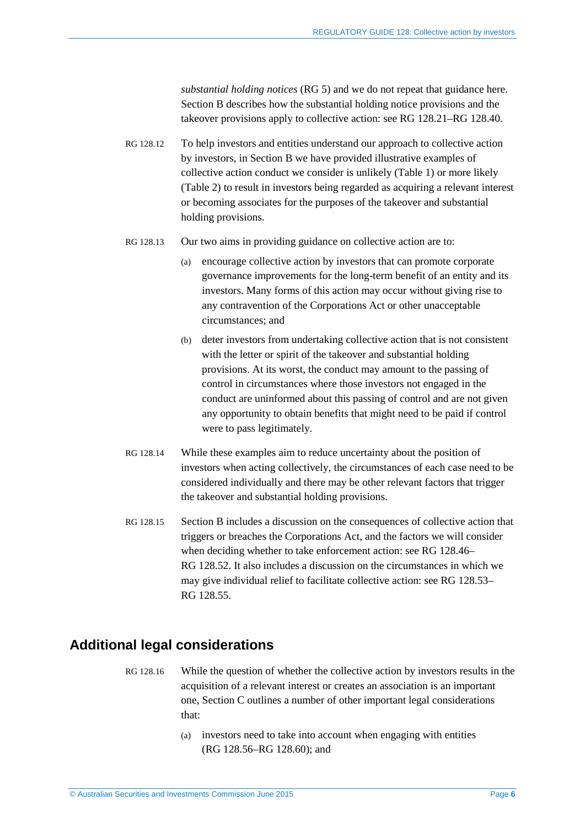*substantial holding notices* (RG 5) and we do not repeat that guidance here. Section [B](#page-7-0) describes how the substantial holding notice provisions and the takeover provisions apply to collective action: see RG [128.21–](#page-7-2)RG [128.40.](#page-10-1)

- RG 128.12 To help investors and entities understand our approach to collective action by investors, in Section [B](#page-7-0) we have provided illustrative examples of collective action conduct we consider is unlikely [\(Table](#page-11-0) 1) or more likely [\(Table](#page-13-1) 2) to result in investors being regarded as acquiring a relevant interest or becoming associates for the purposes of the takeover and substantial holding provisions.
- RG 128.13 Our two aims in providing guidance on collective action are to:
	- (a) encourage collective action by investors that can promote corporate governance improvements for the long-term benefit of an entity and its investors. Many forms of this action may occur without giving rise to any contravention of the Corporations Act or other unacceptable circumstances; and
	- (b) deter investors from undertaking collective action that is not consistent with the letter or spirit of the takeover and substantial holding provisions. At its worst, the conduct may amount to the passing of control in circumstances where those investors not engaged in the conduct are uninformed about this passing of control and are not given any opportunity to obtain benefits that might need to be paid if control were to pass legitimately.
- RG 128.14 While these examples aim to reduce uncertainty about the position of investors when acting collectively, the circumstances of each case need to be considered individually and there may be other relevant factors that trigger the takeover and substantial holding provisions.
- RG 128.15 Section [B](#page-7-0) includes a discussion on the consequences of collective action that triggers or breaches the Corporations Act, and the factors we will consider when deciding whether to take enforcement action: see RG [128.46–](#page-13-2) RG [128.52.](#page-15-1) It also includes a discussion on the circumstances in which we may give individual relief to facilitate collective action: see RG [128.53–](#page-15-2) RG [128.55.](#page-16-0)

### <span id="page-5-0"></span>**Additional legal considerations**

- RG 128.16 While the question of whether the collective action by investors results in the acquisition of a relevant interest or creates an association is an important one, Section [C](#page-17-0) outlines a number of other important legal considerations that:
	- (a) investors need to take into account when engaging with entities (RG [128.56–](#page-17-2)RG [128.60\)](#page-18-1); and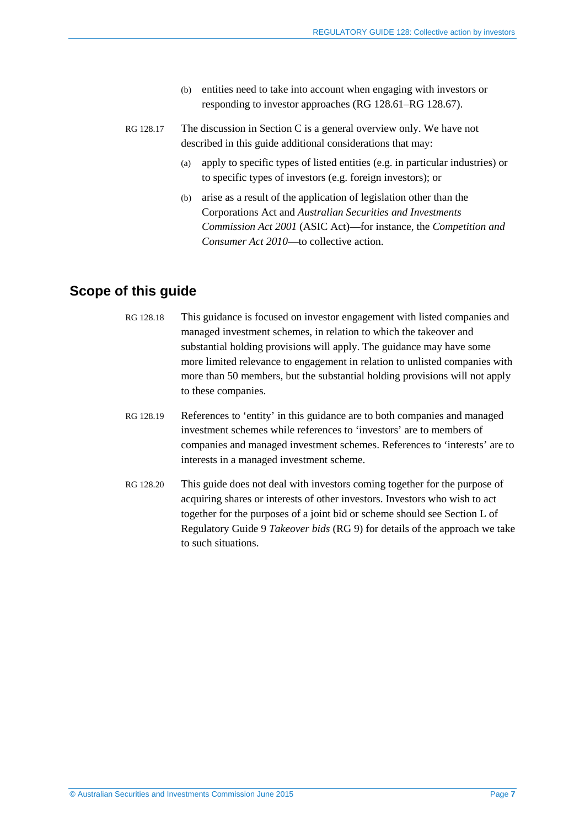- (b) entities need to take into account when engaging with investors or responding to investor approaches (RG [128.61–](#page-18-2)RG [128.67\)](#page-19-0).
- RG 128.17 The discussion in Section [C](#page-17-0) is a general overview only. We have not described in this guide additional considerations that may:
	- (a) apply to specific types of listed entities (e.g. in particular industries) or to specific types of investors (e.g. foreign investors); or
	- (b) arise as a result of the application of legislation other than the Corporations Act and *Australian Securities and Investments Commission Act 2001* (ASIC Act)—for instance, the *Competition and Consumer Act 2010*—to collective action.

### <span id="page-6-0"></span>**Scope of this guide**

- RG 128.18 This guidance is focused on investor engagement with listed companies and managed investment schemes, in relation to which the takeover and substantial holding provisions will apply. The guidance may have some more limited relevance to engagement in relation to unlisted companies with more than 50 members, but the substantial holding provisions will not apply to these companies.
- RG 128.19 References to 'entity' in this guidance are to both companies and managed investment schemes while references to 'investors' are to members of companies and managed investment schemes. References to 'interests' are to interests in a managed investment scheme.
- RG 128.20 This guide does not deal with investors coming together for the purpose of acquiring shares or interests of other investors. Investors who wish to act together for the purposes of a joint bid or scheme should see Section L of Regulatory Guide 9 *Takeover bids* (RG 9) for details of the approach we take to such situations.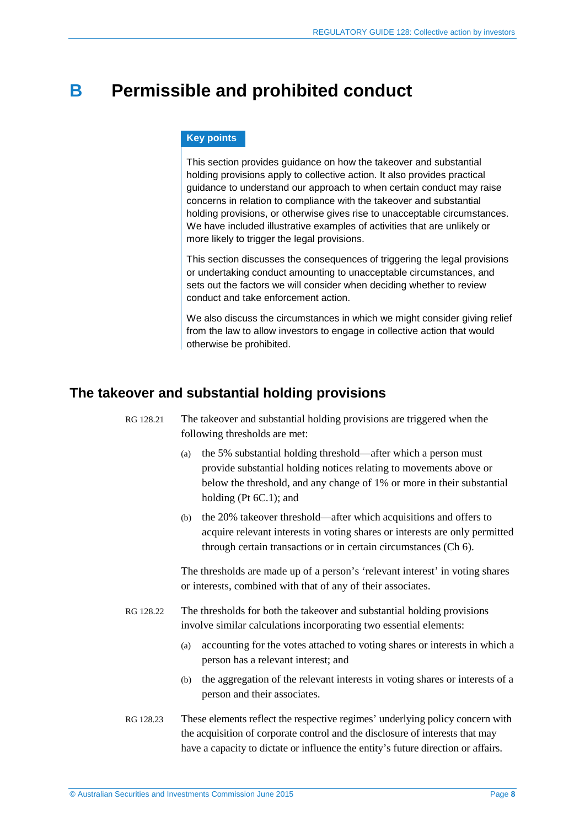## <span id="page-7-0"></span>**B Permissible and prohibited conduct**

#### **Key points**

This section provides guidance on how the takeover and substantial holding provisions apply to collective action. It also provides practical guidance to understand our approach to when certain conduct may raise concerns in relation to compliance with the takeover and substantial holding provisions, or otherwise gives rise to unacceptable circumstances. We have included illustrative examples of activities that are unlikely or more likely to trigger the legal provisions.

This section discusses the consequences of triggering the legal provisions or undertaking conduct amounting to unacceptable circumstances, and sets out the factors we will consider when deciding whether to review conduct and take enforcement action.

We also discuss the circumstances in which we might consider giving relief from the law to allow investors to engage in collective action that would otherwise be prohibited.

### <span id="page-7-2"></span><span id="page-7-1"></span>**The takeover and substantial holding provisions**

- RG 128.21 The takeover and substantial holding provisions are triggered when the following thresholds are met:
	- (a) the 5% substantial holding threshold—after which a person must provide substantial holding notices relating to movements above or below the threshold, and any change of 1% or more in their substantial holding (Pt 6C.1); and
	- (b) the 20% takeover threshold—after which acquisitions and offers to acquire relevant interests in voting shares or interests are only permitted through certain transactions or in certain circumstances (Ch 6).

The thresholds are made up of a person's 'relevant interest' in voting shares or interests, combined with that of any of their associates.

- RG 128.22 The thresholds for both the takeover and substantial holding provisions involve similar calculations incorporating two essential elements:
	- (a) accounting for the votes attached to voting shares or interests in which a person has a relevant interest; and
	- (b) the aggregation of the relevant interests in voting shares or interests of a person and their associates.
- RG 128.23 These elements reflect the respective regimes' underlying policy concern with the acquisition of corporate control and the disclosure of interests that may have a capacity to dictate or influence the entity's future direction or affairs.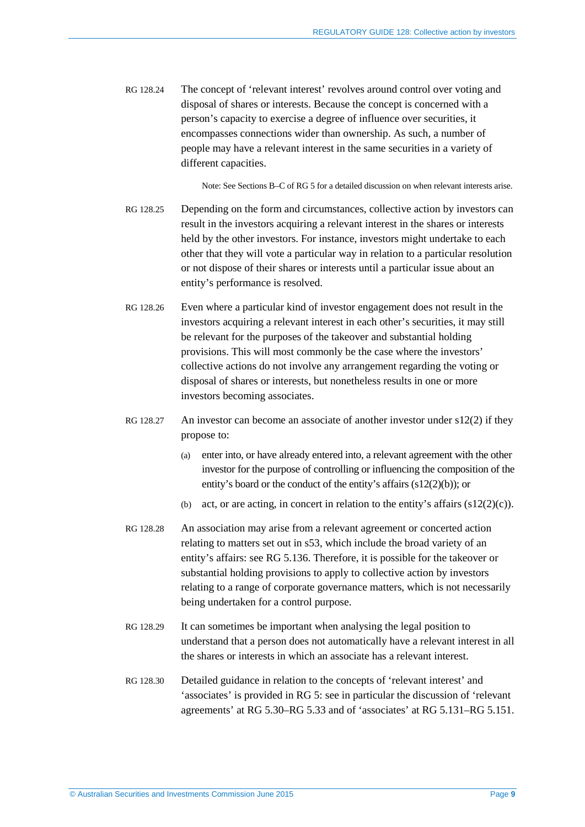RG 128.24 The concept of 'relevant interest' revolves around control over voting and disposal of shares or interests. Because the concept is concerned with a person's capacity to exercise a degree of influence over securities, it encompasses connections wider than ownership. As such, a number of people may have a relevant interest in the same securities in a variety of different capacities.

Note: See Sections B–C of RG 5 for a detailed discussion on when relevant interests arise.

- RG 128.25 Depending on the form and circumstances, collective action by investors can result in the investors acquiring a relevant interest in the shares or interests held by the other investors. For instance, investors might undertake to each other that they will vote a particular way in relation to a particular resolution or not dispose of their shares or interests until a particular issue about an entity's performance is resolved.
- RG 128.26 Even where a particular kind of investor engagement does not result in the investors acquiring a relevant interest in each other's securities, it may still be relevant for the purposes of the takeover and substantial holding provisions. This will most commonly be the case where the investors' collective actions do not involve any arrangement regarding the voting or disposal of shares or interests, but nonetheless results in one or more investors becoming associates.
- RG 128.27 An investor can become an associate of another investor under s12(2) if they propose to:
	- (a) enter into, or have already entered into, a relevant agreement with the other investor for the purpose of controlling or influencing the composition of the entity's board or the conduct of the entity's affairs (s12(2)(b)); or
	- (b) act, or are acting, in concert in relation to the entity's affairs  $(s12(2)(c))$ .
- RG 128.28 An association may arise from a relevant agreement or concerted action relating to matters set out in s53, which include the broad variety of an entity's affairs: see RG 5.136. Therefore, it is possible for the takeover or substantial holding provisions to apply to collective action by investors relating to a range of corporate governance matters, which is not necessarily being undertaken for a control purpose.
- RG 128.29 It can sometimes be important when analysing the legal position to understand that a person does not automatically have a relevant interest in all the shares or interests in which an associate has a relevant interest.
- RG 128.30 Detailed guidance in relation to the concepts of 'relevant interest' and 'associates' is provided in RG 5: see in particular the discussion of 'relevant agreements' at RG 5.30–RG 5.33 and of 'associates' at RG 5.131–RG 5.151.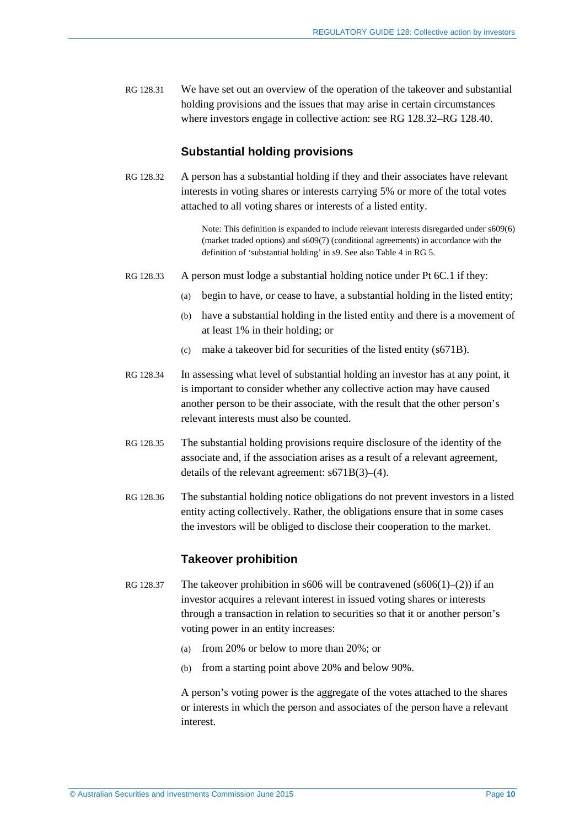RG 128.31 We have set out an overview of the operation of the takeover and substantial holding provisions and the issues that may arise in certain circumstances where investors engage in collective action: see RG [128.32–](#page-9-0)RG [128.40.](#page-10-1)

### **Substantial holding provisions**

<span id="page-9-0"></span>RG 128.32 A person has a substantial holding if they and their associates have relevant interests in voting shares or interests carrying 5% or more of the total votes attached to all voting shares or interests of a listed entity.

> Note: This definition is expanded to include relevant interests disregarded under s609(6) (market traded options) and s609(7) (conditional agreements) in accordance with the definition of 'substantial holding' in s9. See also Table 4 in RG 5.

- RG 128.33 A person must lodge a substantial holding notice under Pt 6C.1 if they:
	- (a) begin to have, or cease to have, a substantial holding in the listed entity;
	- (b) have a substantial holding in the listed entity and there is a movement of at least 1% in their holding; or
	- (c) make a takeover bid for securities of the listed entity (s671B).
- RG 128.34 In assessing what level of substantial holding an investor has at any point, it is important to consider whether any collective action may have caused another person to be their associate, with the result that the other person's relevant interests must also be counted.
- RG 128.35 The substantial holding provisions require disclosure of the identity of the associate and, if the association arises as a result of a relevant agreement, details of the relevant agreement: s671B(3)–(4).
- RG 128.36 The substantial holding notice obligations do not prevent investors in a listed entity acting collectively. Rather, the obligations ensure that in some cases the investors will be obliged to disclose their cooperation to the market.

### **Takeover prohibition**

- RG 128.37 The takeover prohibition in s606 will be contravened (s606(1)–(2)) if an investor acquires a relevant interest in issued voting shares or interests through a transaction in relation to securities so that it or another person's voting power in an entity increases:
	- (a) from 20% or below to more than 20%; or
	- (b) from a starting point above 20% and below 90%.

A person's voting power is the aggregate of the votes attached to the shares or interests in which the person and associates of the person have a relevant interest.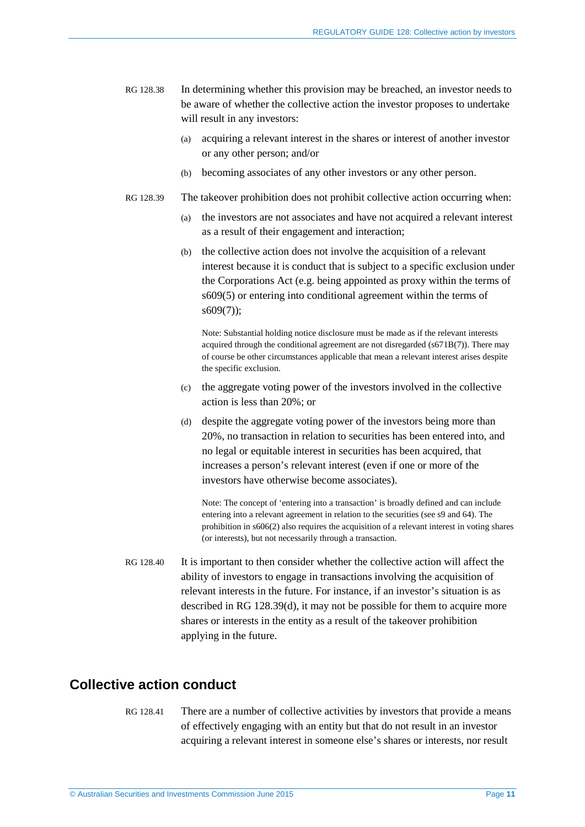- <span id="page-10-3"></span>RG 128.38 In determining whether this provision may be breached, an investor needs to be aware of whether the collective action the investor proposes to undertake will result in any investors:
	- (a) acquiring a relevant interest in the shares or interest of another investor or any other person; and/or
	- (b) becoming associates of any other investors or any other person.
- <span id="page-10-4"></span>RG 128.39 The takeover prohibition does not prohibit collective action occurring when:
	- (a) the investors are not associates and have not acquired a relevant interest as a result of their engagement and interaction;
	- (b) the collective action does not involve the acquisition of a relevant interest because it is conduct that is subject to a specific exclusion under the Corporations Act (e.g. being appointed as proxy within the terms of s609(5) or entering into conditional agreement within the terms of s609(7));

Note: Substantial holding notice disclosure must be made as if the relevant interests acquired through the conditional agreement are not disregarded (s671B(7)). There may of course be other circumstances applicable that mean a relevant interest arises despite the specific exclusion.

- (c) the aggregate voting power of the investors involved in the collective action is less than 20%; or
- <span id="page-10-2"></span>(d) despite the aggregate voting power of the investors being more than 20%, no transaction in relation to securities has been entered into, and no legal or equitable interest in securities has been acquired, that increases a person's relevant interest (even if one or more of the investors have otherwise become associates).

Note: The concept of 'entering into a transaction' is broadly defined and can include entering into a relevant agreement in relation to the securities (see s9 and 64). The prohibition in s606(2) also requires the acquisition of a relevant interest in voting shares (or interests), but not necessarily through a transaction.

<span id="page-10-1"></span>RG 128.40 It is important to then consider whether the collective action will affect the ability of investors to engage in transactions involving the acquisition of relevant interests in the future. For instance, if an investor's situation is as described in RG [128.39\(d\),](#page-10-2) it may not be possible for them to acquire more shares or interests in the entity as a result of the takeover prohibition applying in the future.

### <span id="page-10-0"></span>**Collective action conduct**

RG 128.41 There are a number of collective activities by investors that provide a means of effectively engaging with an entity but that do not result in an investor acquiring a relevant interest in someone else's shares or interests, nor result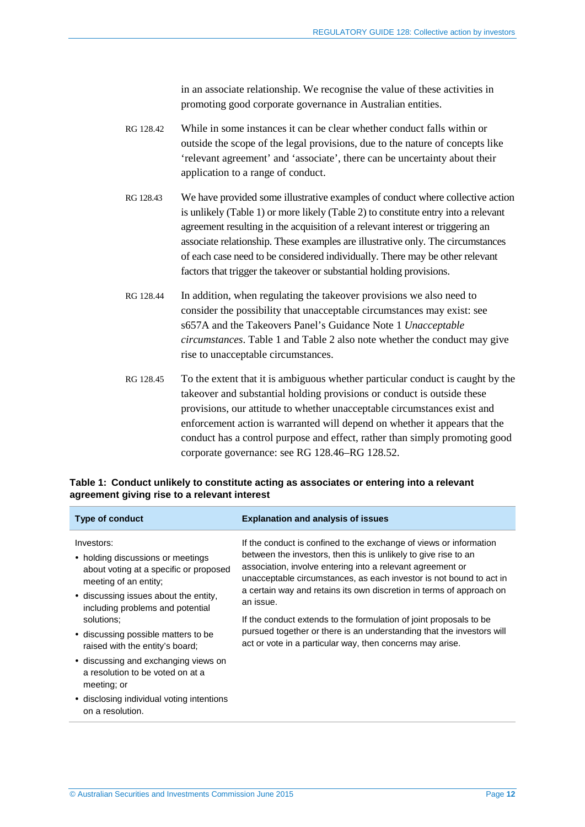in an associate relationship. We recognise the value of these activities in promoting good corporate governance in Australian entities.

- RG 128.42 While in some instances it can be clear whether conduct falls within or outside the scope of the legal provisions, due to the nature of concepts like 'relevant agreement' and 'associate', there can be uncertainty about their application to a range of conduct.
- RG 128.43 We have provided some illustrative examples of conduct where collective action is unlikely [\(Table](#page-11-0) 1) or more likely [\(Table](#page-13-1) 2) to constitute entry into a relevant agreement resulting in the acquisition of a relevant interest or triggering an associate relationship. These examples are illustrative only. The circumstances of each case need to be considered individually. There may be other relevant factors that trigger the takeover or substantial holding provisions.
- RG 128.44 In addition, when regulating the takeover provisions we also need to consider the possibility that unacceptable circumstances may exist: see s657A and the Takeovers Panel's Guidance Note 1 *Unacceptable circumstances*[. Table](#page-11-0) 1 and [Table](#page-13-1) 2 also note whether the conduct may give rise to unacceptable circumstances.
- RG 128.45 To the extent that it is ambiguous whether particular conduct is caught by the takeover and substantial holding provisions or conduct is outside these provisions, our attitude to whether unacceptable circumstances exist and enforcement action is warranted will depend on whether it appears that the conduct has a control purpose and effect, rather than simply promoting good corporate governance: see RG [128.46–](#page-13-2)RG [128.52.](#page-15-1)

| <b>Type of conduct</b>                                                                                                                                      | <b>Explanation and analysis of issues</b>                                                                                                                                                                                                                                                                                                                       |
|-------------------------------------------------------------------------------------------------------------------------------------------------------------|-----------------------------------------------------------------------------------------------------------------------------------------------------------------------------------------------------------------------------------------------------------------------------------------------------------------------------------------------------------------|
| Investors:<br>• holding discussions or meetings<br>about voting at a specific or proposed<br>meeting of an entity;<br>• discussing issues about the entity, | If the conduct is confined to the exchange of views or information<br>between the investors, then this is unlikely to give rise to an<br>association, involve entering into a relevant agreement or<br>unacceptable circumstances, as each investor is not bound to act in<br>a certain way and retains its own discretion in terms of approach on<br>an issue. |
| including problems and potential<br>solutions:<br>• discussing possible matters to be<br>raised with the entity's board;                                    | If the conduct extends to the formulation of joint proposals to be<br>pursued together or there is an understanding that the investors will<br>act or vote in a particular way, then concerns may arise.                                                                                                                                                        |
| • discussing and exchanging views on<br>a resolution to be voted on at a<br>meeting; or<br>• disclosing individual voting intentions<br>on a resolution.    |                                                                                                                                                                                                                                                                                                                                                                 |
|                                                                                                                                                             |                                                                                                                                                                                                                                                                                                                                                                 |

#### <span id="page-11-0"></span>**Table 1: Conduct unlikely to constitute acting as associates or entering into a relevant agreement giving rise to a relevant interest**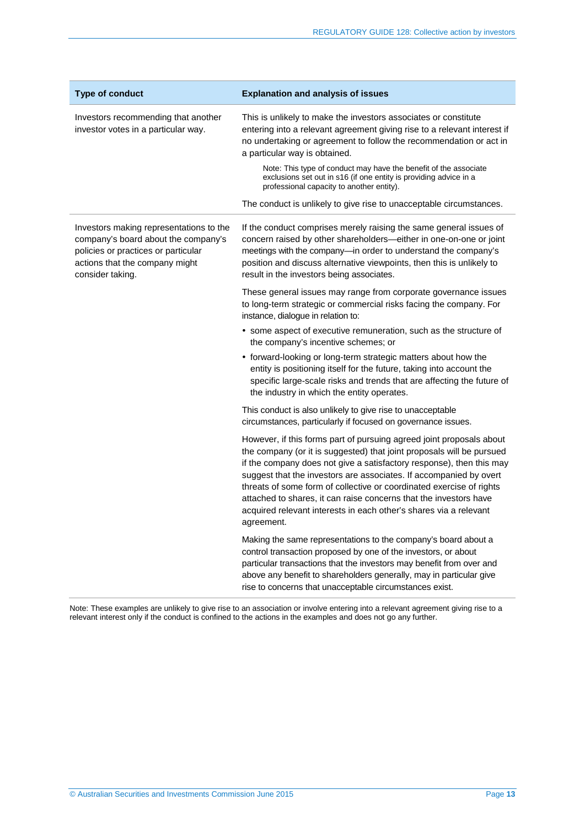| <b>Type of conduct</b>                                                                                                                                                      | <b>Explanation and analysis of issues</b>                                                                                                                                                                                                                                                                                                                                                                                                                                                                                   |
|-----------------------------------------------------------------------------------------------------------------------------------------------------------------------------|-----------------------------------------------------------------------------------------------------------------------------------------------------------------------------------------------------------------------------------------------------------------------------------------------------------------------------------------------------------------------------------------------------------------------------------------------------------------------------------------------------------------------------|
| Investors recommending that another<br>investor votes in a particular way.                                                                                                  | This is unlikely to make the investors associates or constitute<br>entering into a relevant agreement giving rise to a relevant interest if<br>no undertaking or agreement to follow the recommendation or act in<br>a particular way is obtained.                                                                                                                                                                                                                                                                          |
|                                                                                                                                                                             | Note: This type of conduct may have the benefit of the associate<br>exclusions set out in s16 (if one entity is providing advice in a<br>professional capacity to another entity).                                                                                                                                                                                                                                                                                                                                          |
|                                                                                                                                                                             | The conduct is unlikely to give rise to unacceptable circumstances.                                                                                                                                                                                                                                                                                                                                                                                                                                                         |
| Investors making representations to the<br>company's board about the company's<br>policies or practices or particular<br>actions that the company might<br>consider taking. | If the conduct comprises merely raising the same general issues of<br>concern raised by other shareholders-either in one-on-one or joint<br>meetings with the company-in order to understand the company's<br>position and discuss alternative viewpoints, then this is unlikely to<br>result in the investors being associates.                                                                                                                                                                                            |
|                                                                                                                                                                             | These general issues may range from corporate governance issues<br>to long-term strategic or commercial risks facing the company. For<br>instance, dialogue in relation to:                                                                                                                                                                                                                                                                                                                                                 |
|                                                                                                                                                                             | • some aspect of executive remuneration, such as the structure of<br>the company's incentive schemes; or                                                                                                                                                                                                                                                                                                                                                                                                                    |
|                                                                                                                                                                             | • forward-looking or long-term strategic matters about how the<br>entity is positioning itself for the future, taking into account the<br>specific large-scale risks and trends that are affecting the future of<br>the industry in which the entity operates.                                                                                                                                                                                                                                                              |
|                                                                                                                                                                             | This conduct is also unlikely to give rise to unacceptable<br>circumstances, particularly if focused on governance issues.                                                                                                                                                                                                                                                                                                                                                                                                  |
|                                                                                                                                                                             | However, if this forms part of pursuing agreed joint proposals about<br>the company (or it is suggested) that joint proposals will be pursued<br>if the company does not give a satisfactory response), then this may<br>suggest that the investors are associates. If accompanied by overt<br>threats of some form of collective or coordinated exercise of rights<br>attached to shares, it can raise concerns that the investors have<br>acquired relevant interests in each other's shares via a relevant<br>agreement. |
|                                                                                                                                                                             | Making the same representations to the company's board about a<br>control transaction proposed by one of the investors, or about<br>particular transactions that the investors may benefit from over and<br>above any benefit to shareholders generally, may in particular give<br>rise to concerns that unacceptable circumstances exist.                                                                                                                                                                                  |

Note: These examples are unlikely to give rise to an association or involve entering into a relevant agreement giving rise to a relevant interest only if the conduct is confined to the actions in the examples and does not go any further.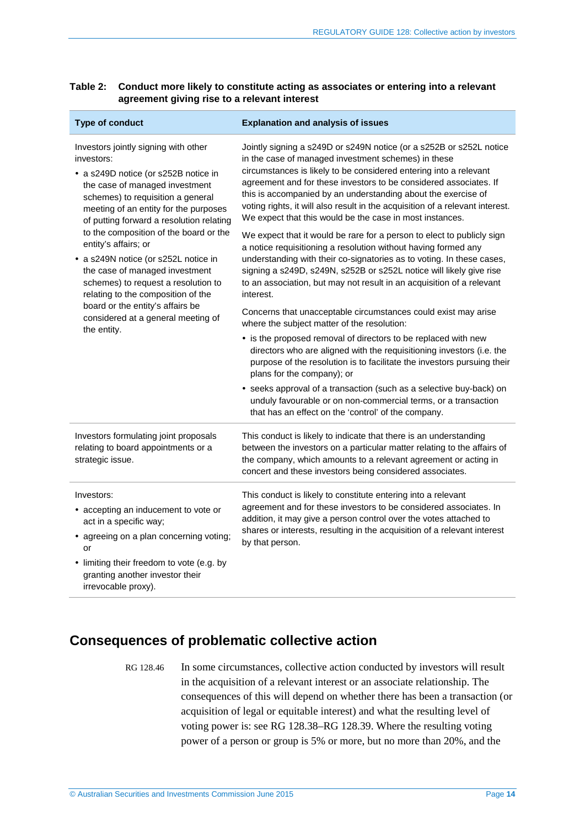<span id="page-13-1"></span>

| Table 2: Conduct more likely to constitute acting as associates or entering into a relevant |
|---------------------------------------------------------------------------------------------|
| agreement giving rise to a relevant interest                                                |

| <b>Type of conduct</b>                                                                                                                                                                                                                                                                                                                                                                                                                                                                                                                                                   | <b>Explanation and analysis of issues</b>                                                                                                                                                                                                                                                                                                                                                                                                                                                                                                                                                                                                                                                                                                                                                                                                                                                                                                                                                                                                                                                                                                                                                                                                 |  |
|--------------------------------------------------------------------------------------------------------------------------------------------------------------------------------------------------------------------------------------------------------------------------------------------------------------------------------------------------------------------------------------------------------------------------------------------------------------------------------------------------------------------------------------------------------------------------|-------------------------------------------------------------------------------------------------------------------------------------------------------------------------------------------------------------------------------------------------------------------------------------------------------------------------------------------------------------------------------------------------------------------------------------------------------------------------------------------------------------------------------------------------------------------------------------------------------------------------------------------------------------------------------------------------------------------------------------------------------------------------------------------------------------------------------------------------------------------------------------------------------------------------------------------------------------------------------------------------------------------------------------------------------------------------------------------------------------------------------------------------------------------------------------------------------------------------------------------|--|
| Investors jointly signing with other<br>investors:<br>• a s249D notice (or s252B notice in<br>the case of managed investment<br>schemes) to requisition a general<br>meeting of an entity for the purposes<br>of putting forward a resolution relating<br>to the composition of the board or the<br>entity's affairs; or<br>• a s249N notice (or s252L notice in<br>the case of managed investment<br>schemes) to request a resolution to<br>relating to the composition of the<br>board or the entity's affairs be<br>considered at a general meeting of<br>the entity. | Jointly signing a s249D or s249N notice (or a s252B or s252L notice<br>in the case of managed investment schemes) in these<br>circumstances is likely to be considered entering into a relevant<br>agreement and for these investors to be considered associates. If<br>this is accompanied by an understanding about the exercise of<br>voting rights, it will also result in the acquisition of a relevant interest.<br>We expect that this would be the case in most instances.<br>We expect that it would be rare for a person to elect to publicly sign<br>a notice requisitioning a resolution without having formed any<br>understanding with their co-signatories as to voting. In these cases,<br>signing a s249D, s249N, s252B or s252L notice will likely give rise<br>to an association, but may not result in an acquisition of a relevant<br>interest.<br>Concerns that unacceptable circumstances could exist may arise<br>where the subject matter of the resolution:<br>• is the proposed removal of directors to be replaced with new<br>directors who are aligned with the requisitioning investors (i.e. the<br>purpose of the resolution is to facilitate the investors pursuing their<br>plans for the company); or |  |
|                                                                                                                                                                                                                                                                                                                                                                                                                                                                                                                                                                          | • seeks approval of a transaction (such as a selective buy-back) on<br>unduly favourable or on non-commercial terms, or a transaction<br>that has an effect on the 'control' of the company.                                                                                                                                                                                                                                                                                                                                                                                                                                                                                                                                                                                                                                                                                                                                                                                                                                                                                                                                                                                                                                              |  |
| Investors formulating joint proposals<br>relating to board appointments or a<br>strategic issue.                                                                                                                                                                                                                                                                                                                                                                                                                                                                         | This conduct is likely to indicate that there is an understanding<br>between the investors on a particular matter relating to the affairs of<br>the company, which amounts to a relevant agreement or acting in<br>concert and these investors being considered associates.                                                                                                                                                                                                                                                                                                                                                                                                                                                                                                                                                                                                                                                                                                                                                                                                                                                                                                                                                               |  |
| Investors:<br>• accepting an inducement to vote or<br>act in a specific way;<br>• agreeing on a plan concerning voting;<br>or<br>• limiting their freedom to vote (e.g. by<br>granting another investor their<br>irrevocable proxy).                                                                                                                                                                                                                                                                                                                                     | This conduct is likely to constitute entering into a relevant<br>agreement and for these investors to be considered associates. In<br>addition, it may give a person control over the votes attached to<br>shares or interests, resulting in the acquisition of a relevant interest<br>by that person.                                                                                                                                                                                                                                                                                                                                                                                                                                                                                                                                                                                                                                                                                                                                                                                                                                                                                                                                    |  |

### <span id="page-13-2"></span><span id="page-13-0"></span>**Consequences of problematic collective action**

RG 128.46 In some circumstances, collective action conducted by investors will result in the acquisition of a relevant interest or an associate relationship. The consequences of this will depend on whether there has been a transaction (or acquisition of legal or equitable interest) and what the resulting level of voting power is: see RG [128.38–](#page-10-3)RG [128.39.](#page-10-4) Where the resulting voting power of a person or group is 5% or more, but no more than 20%, and the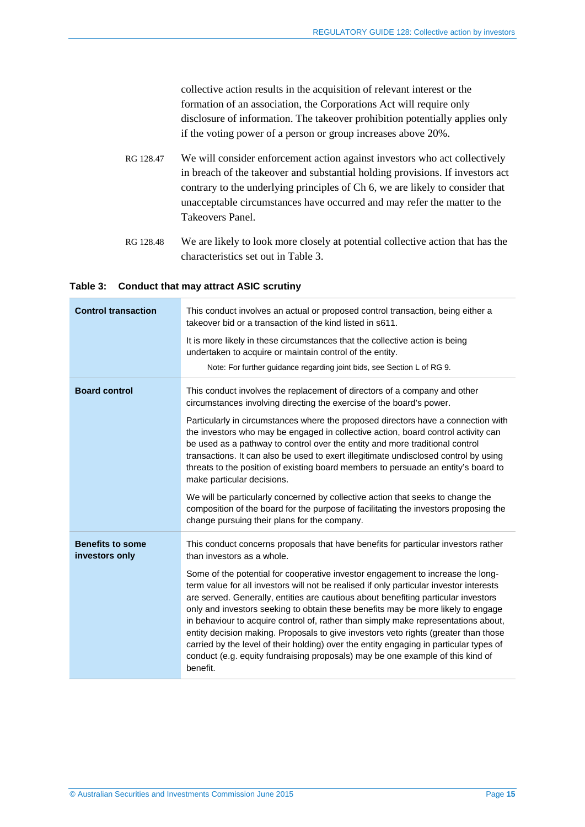collective action results in the acquisition of relevant interest or the formation of an association, the Corporations Act will require only disclosure of information. The takeover prohibition potentially applies only if the voting power of a person or group increases above 20%.

- RG 128.47 We will consider enforcement action against investors who act collectively in breach of the takeover and substantial holding provisions. If investors act contrary to the underlying principles of Ch 6, we are likely to consider that unacceptable circumstances have occurred and may refer the matter to the Takeovers Panel.
- RG 128.48 We are likely to look more closely at potential collective action that has the characteristics set out in [Table 3.](#page-14-0)

#### <span id="page-14-0"></span>**Table 3: Conduct that may attract ASIC scrutiny**

| <b>Control transaction</b>                | This conduct involves an actual or proposed control transaction, being either a<br>takeover bid or a transaction of the kind listed in s611.<br>It is more likely in these circumstances that the collective action is being<br>undertaken to acquire or maintain control of the entity.<br>Note: For further guidance regarding joint bids, see Section L of RG 9.                                                                                                                                                                                                                                                                                                                                                                                                                                                                           |
|-------------------------------------------|-----------------------------------------------------------------------------------------------------------------------------------------------------------------------------------------------------------------------------------------------------------------------------------------------------------------------------------------------------------------------------------------------------------------------------------------------------------------------------------------------------------------------------------------------------------------------------------------------------------------------------------------------------------------------------------------------------------------------------------------------------------------------------------------------------------------------------------------------|
| <b>Board control</b>                      | This conduct involves the replacement of directors of a company and other<br>circumstances involving directing the exercise of the board's power.<br>Particularly in circumstances where the proposed directors have a connection with<br>the investors who may be engaged in collective action, board control activity can<br>be used as a pathway to control over the entity and more traditional control<br>transactions. It can also be used to exert illegitimate undisclosed control by using<br>threats to the position of existing board members to persuade an entity's board to<br>make particular decisions.                                                                                                                                                                                                                       |
|                                           | We will be particularly concerned by collective action that seeks to change the<br>composition of the board for the purpose of facilitating the investors proposing the<br>change pursuing their plans for the company.                                                                                                                                                                                                                                                                                                                                                                                                                                                                                                                                                                                                                       |
| <b>Benefits to some</b><br>investors only | This conduct concerns proposals that have benefits for particular investors rather<br>than investors as a whole.<br>Some of the potential for cooperative investor engagement to increase the long-<br>term value for all investors will not be realised if only particular investor interests<br>are served. Generally, entities are cautious about benefiting particular investors<br>only and investors seeking to obtain these benefits may be more likely to engage<br>in behaviour to acquire control of, rather than simply make representations about,<br>entity decision making. Proposals to give investors veto rights (greater than those<br>carried by the level of their holding) over the entity engaging in particular types of<br>conduct (e.g. equity fundraising proposals) may be one example of this kind of<br>benefit. |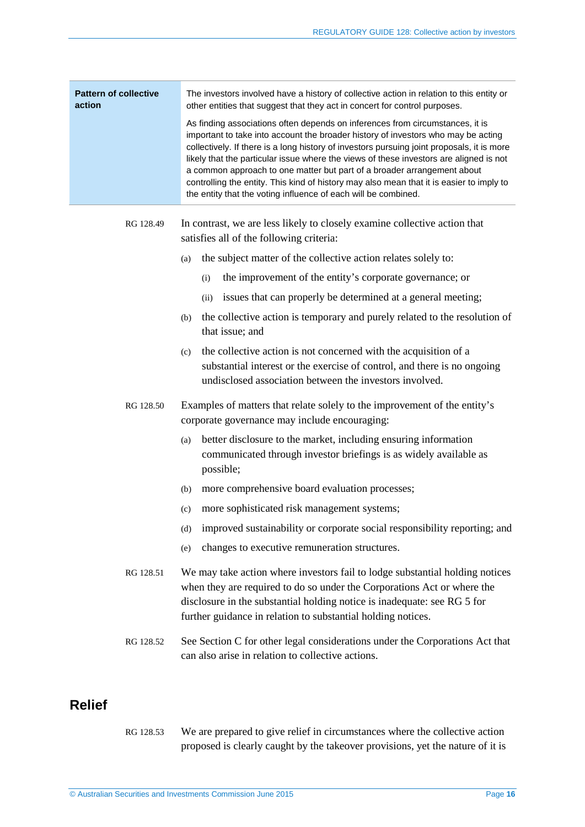| <b>Pattern of collective</b><br>The investors involved have a history of collective action in relation to this entity or<br>other entities that suggest that they act in concert for control purposes.<br>action<br>As finding associations often depends on inferences from circumstances, it is<br>important to take into account the broader history of investors who may be acting<br>collectively. If there is a long history of investors pursuing joint proposals, it is more<br>likely that the particular issue where the views of these investors are aligned is not<br>a common approach to one matter but part of a broader arrangement about<br>controlling the entity. This kind of history may also mean that it is easier to imply to<br>the entity that the voting influence of each will be combined. |                                                                                                                                                                                                                                                                                                                                           |
|-------------------------------------------------------------------------------------------------------------------------------------------------------------------------------------------------------------------------------------------------------------------------------------------------------------------------------------------------------------------------------------------------------------------------------------------------------------------------------------------------------------------------------------------------------------------------------------------------------------------------------------------------------------------------------------------------------------------------------------------------------------------------------------------------------------------------|-------------------------------------------------------------------------------------------------------------------------------------------------------------------------------------------------------------------------------------------------------------------------------------------------------------------------------------------|
| RG 128.49                                                                                                                                                                                                                                                                                                                                                                                                                                                                                                                                                                                                                                                                                                                                                                                                               | In contrast, we are less likely to closely examine collective action that<br>satisfies all of the following criteria:<br>the subject matter of the collective action relates solely to:<br>(a)<br>the improvement of the entity's corporate governance; or<br>(i)<br>issues that can properly be determined at a general meeting;<br>(ii) |

- (b) the collective action is temporary and purely related to the resolution of that issue; and
- (c) the collective action is not concerned with the acquisition of a substantial interest or the exercise of control, and there is no ongoing undisclosed association between the investors involved.
- RG 128.50 Examples of matters that relate solely to the improvement of the entity's corporate governance may include encouraging:
	- (a) better disclosure to the market, including ensuring information communicated through investor briefings is as widely available as possible;
	- (b) more comprehensive board evaluation processes;
	- (c) more sophisticated risk management systems;
	- (d) improved sustainability or corporate social responsibility reporting; and
	- (e) changes to executive remuneration structures.
- RG 128.51 We may take action where investors fail to lodge substantial holding notices when they are required to do so under the Corporations Act or where the disclosure in the substantial holding notice is inadequate: see RG 5 for further guidance in relation to substantial holding notices.
- <span id="page-15-1"></span>RG 128.52 See Sectio[n C](#page-17-0) for other legal considerations under the Corporations Act that can also arise in relation to collective actions.

### <span id="page-15-2"></span><span id="page-15-0"></span>**Relief**

RG 128.53 We are prepared to give relief in circumstances where the collective action proposed is clearly caught by the takeover provisions, yet the nature of it is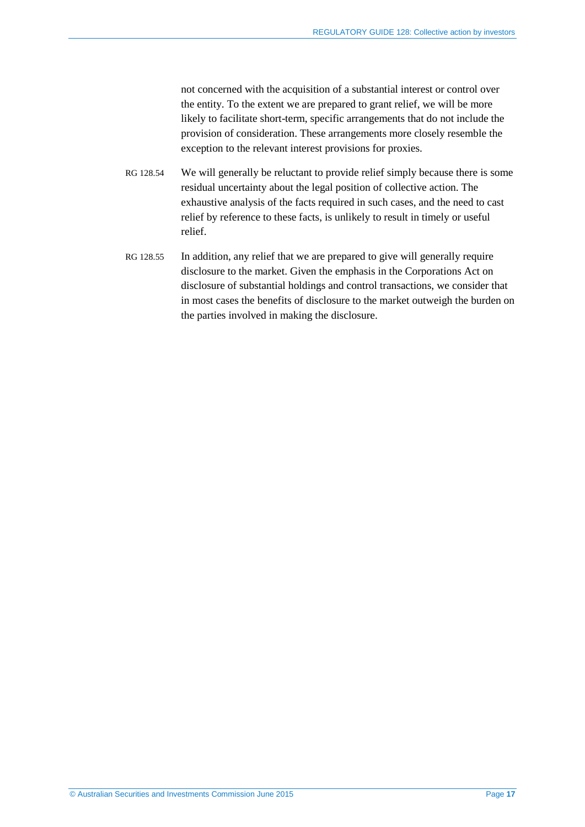not concerned with the acquisition of a substantial interest or control over the entity. To the extent we are prepared to grant relief, we will be more likely to facilitate short-term, specific arrangements that do not include the provision of consideration. These arrangements more closely resemble the exception to the relevant interest provisions for proxies.

- RG 128.54 We will generally be reluctant to provide relief simply because there is some residual uncertainty about the legal position of collective action. The exhaustive analysis of the facts required in such cases, and the need to cast relief by reference to these facts, is unlikely to result in timely or useful relief.
- <span id="page-16-0"></span>RG 128.55 In addition, any relief that we are prepared to give will generally require disclosure to the market. Given the emphasis in the Corporations Act on disclosure of substantial holdings and control transactions, we consider that in most cases the benefits of disclosure to the market outweigh the burden on the parties involved in making the disclosure.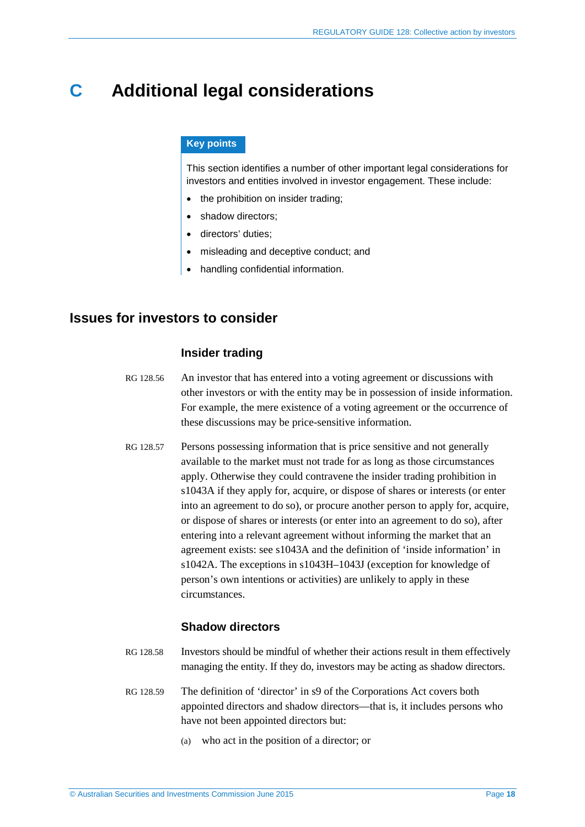## <span id="page-17-0"></span>**C Additional legal considerations**

#### **Key points**

This section identifies a number of other important legal considerations for investors and entities involved in investor engagement. These include:

- the prohibition on insider trading;
- shadow directors:
- directors' duties:
- misleading and deceptive conduct; and
- handling confidential information.

### <span id="page-17-2"></span><span id="page-17-1"></span>**Issues for investors to consider**

#### **Insider trading**

- RG 128.56 An investor that has entered into a voting agreement or discussions with other investors or with the entity may be in possession of inside information. For example, the mere existence of a voting agreement or the occurrence of these discussions may be price-sensitive information.
- RG 128.57 Persons possessing information that is price sensitive and not generally available to the market must not trade for as long as those circumstances apply. Otherwise they could contravene the insider trading prohibition in s1043A if they apply for, acquire, or dispose of shares or interests (or enter into an agreement to do so), or procure another person to apply for, acquire, or dispose of shares or interests (or enter into an agreement to do so), after entering into a relevant agreement without informing the market that an agreement exists: see s1043A and the definition of 'inside information' in s1042A. The exceptions in s1043H–1043J (exception for knowledge of person's own intentions or activities) are unlikely to apply in these circumstances.

#### **Shadow directors**

- RG 128.58 Investors should be mindful of whether their actions result in them effectively managing the entity. If they do, investors may be acting as shadow directors.
- RG 128.59 The definition of 'director' in s9 of the Corporations Act covers both appointed directors and shadow directors—that is, it includes persons who have not been appointed directors but:
	- (a) who act in the position of a director; or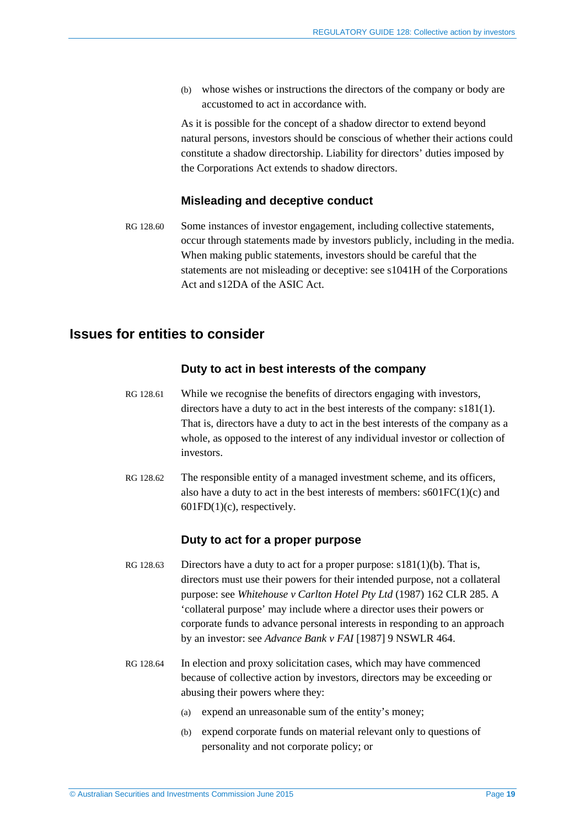(b) whose wishes or instructions the directors of the company or body are accustomed to act in accordance with.

As it is possible for the concept of a shadow director to extend beyond natural persons, investors should be conscious of whether their actions could constitute a shadow directorship. Liability for directors' duties imposed by the Corporations Act extends to shadow directors.

#### **Misleading and deceptive conduct**

<span id="page-18-1"></span>RG 128.60 Some instances of investor engagement, including collective statements, occur through statements made by investors publicly, including in the media. When making public statements, investors should be careful that the statements are not misleading or deceptive: see s1041H of the Corporations Act and s12DA of the ASIC Act.

### <span id="page-18-2"></span><span id="page-18-0"></span>**Issues for entities to consider**

#### **Duty to act in best interests of the company**

- RG 128.61 While we recognise the benefits of directors engaging with investors, directors have a duty to act in the best interests of the company: s181(1). That is, directors have a duty to act in the best interests of the company as a whole, as opposed to the interest of any individual investor or collection of investors.
- RG 128.62 The responsible entity of a managed investment scheme, and its officers, also have a duty to act in the best interests of members:  $s601FC(1)(c)$  and  $601FD(1)(c)$ , respectively.

#### **Duty to act for a proper purpose**

- RG 128.63 Directors have a duty to act for a proper purpose:  $s181(1)(b)$ . That is, directors must use their powers for their intended purpose, not a collateral purpose: see *Whitehouse v Carlton Hotel Pty Ltd* (1987) 162 CLR 285. A 'collateral purpose' may include where a director uses their powers or corporate funds to advance personal interests in responding to an approach by an investor: see *Advance Bank v FAI* [1987] 9 NSWLR 464.
- RG 128.64 In election and proxy solicitation cases, which may have commenced because of collective action by investors, directors may be exceeding or abusing their powers where they:
	- (a) expend an unreasonable sum of the entity's money;
	- (b) expend corporate funds on material relevant only to questions of personality and not corporate policy; or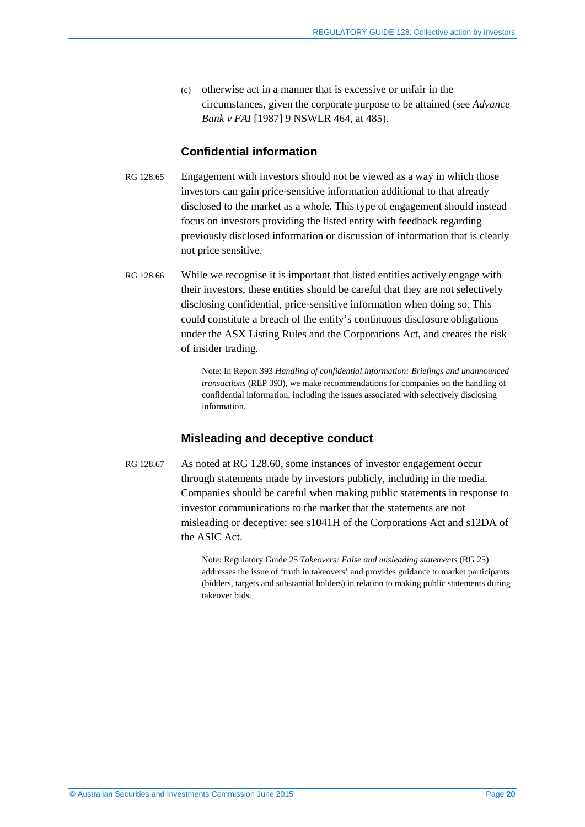(c) otherwise act in a manner that is excessive or unfair in the circumstances, given the corporate purpose to be attained (see *Advance Bank v FAI* [1987] 9 NSWLR 464, at 485).

### **Confidential information**

- RG 128.65 Engagement with investors should not be viewed as a way in which those investors can gain price-sensitive information additional to that already disclosed to the market as a whole. This type of engagement should instead focus on investors providing the listed entity with feedback regarding previously disclosed information or discussion of information that is clearly not price sensitive.
- RG 128.66 While we recognise it is important that listed entities actively engage with their investors, these entities should be careful that they are not selectively disclosing confidential, price-sensitive information when doing so. This could constitute a breach of the entity's continuous disclosure obligations under the ASX Listing Rules and the Corporations Act, and creates the risk of insider trading.

Note: In Report 393 *Handling of confidential information: Briefings and unannounced transactions* (REP 393), we make recommendations for companies on the handling of confidential information, including the issues associated with selectively disclosing information.

### **Misleading and deceptive conduct**

<span id="page-19-0"></span>RG 128.67 As noted at RG [128.60,](#page-18-1) some instances of investor engagement occur through statements made by investors publicly, including in the media. Companies should be careful when making public statements in response to investor communications to the market that the statements are not misleading or deceptive: see s1041H of the Corporations Act and s12DA of the ASIC Act.

> Note: Regulatory Guide 25 *Takeovers: False and misleading statements* (RG 25) addresses the issue of 'truth in takeovers' and provides guidance to market participants (bidders, targets and substantial holders) in relation to making public statements during takeover bids.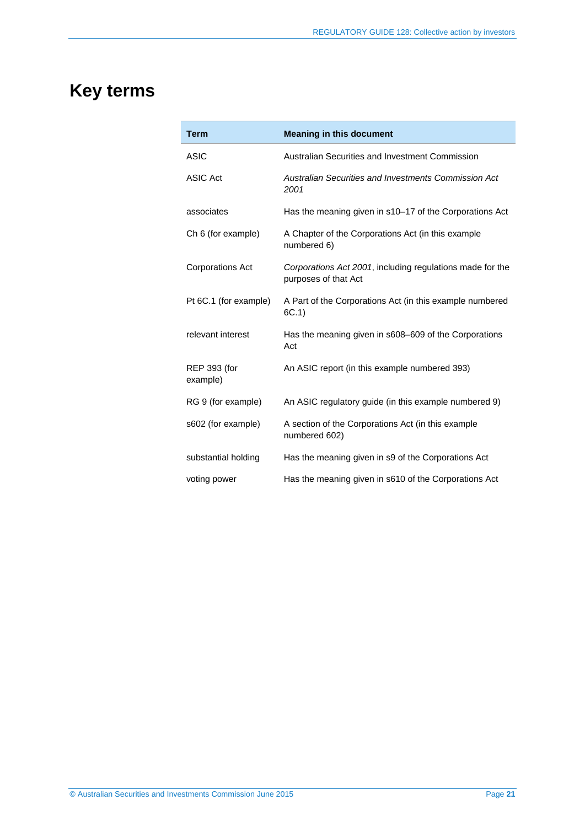# <span id="page-20-0"></span>**Key terms**

| <b>Term</b>                     | <b>Meaning in this document</b>                                                   |
|---------------------------------|-----------------------------------------------------------------------------------|
| <b>ASIC</b>                     | Australian Securities and Investment Commission                                   |
| <b>ASIC Act</b>                 | Australian Securities and Investments Commission Act<br>2001                      |
| associates                      | Has the meaning given in s10-17 of the Corporations Act                           |
| Ch 6 (for example)              | A Chapter of the Corporations Act (in this example<br>numbered 6)                 |
| <b>Corporations Act</b>         | Corporations Act 2001, including regulations made for the<br>purposes of that Act |
| Pt 6C.1 (for example)           | A Part of the Corporations Act (in this example numbered<br>6C.1)                 |
| relevant interest               | Has the meaning given in s608-609 of the Corporations<br>Act                      |
| <b>REP 393 (for</b><br>example) | An ASIC report (in this example numbered 393)                                     |
| RG 9 (for example)              | An ASIC regulatory guide (in this example numbered 9)                             |
| s602 (for example)              | A section of the Corporations Act (in this example<br>numbered 602)               |
| substantial holding             | Has the meaning given in s9 of the Corporations Act                               |
| voting power                    | Has the meaning given in s610 of the Corporations Act                             |